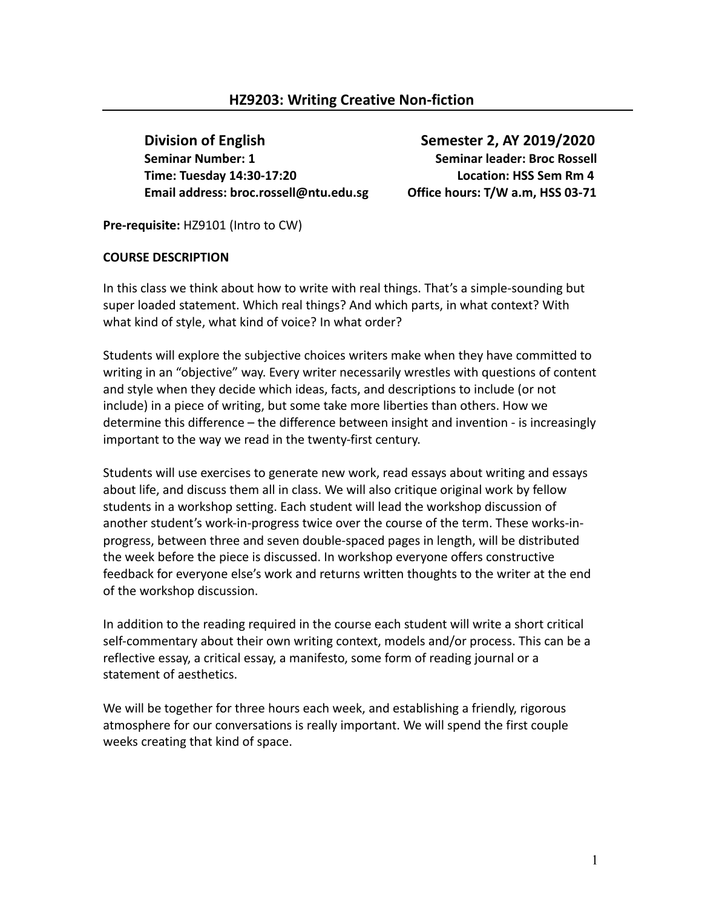**Division of English Semester 2, AY 2019/2020 Seminar Number: 1** Seminar leader: Broc Rossell **Time: Tuesday 14:30-17:20 Location: HSS Sem Rm 4 Email address: broc.rossell@ntu.edu.sg Office hours: T/W a.m, HSS 03-71**

**Pre-requisite:** HZ9101 (Intro to CW)

### **COURSE DESCRIPTION**

In this class we think about how to write with real things. That's a simple-sounding but super loaded statement. Which real things? And which parts, in what context? With what kind of style, what kind of voice? In what order?

Students will explore the subjective choices writers make when they have committed to writing in an "objective" way. Every writer necessarily wrestles with questions of content and style when they decide which ideas, facts, and descriptions to include (or not include) in a piece of writing, but some take more liberties than others. How we determine this difference – the difference between insight and invention - is increasingly important to the way we read in the twenty-first century.

Students will use exercises to generate new work, read essays about writing and essays about life, and discuss them all in class. We will also critique original work by fellow students in a workshop setting. Each student will lead the workshop discussion of another student's work-in-progress twice over the course of the term. These works-inprogress, between three and seven double-spaced pages in length, will be distributed the week before the piece is discussed. In workshop everyone offers constructive feedback for everyone else's work and returns written thoughts to the writer at the end of the workshop discussion.

In addition to the reading required in the course each student will write a short critical self-commentary about their own writing context, models and/or process. This can be a reflective essay, a critical essay, a manifesto, some form of reading journal or a statement of aesthetics.

We will be together for three hours each week, and establishing a friendly, rigorous atmosphere for our conversations is really important. We will spend the first couple weeks creating that kind of space.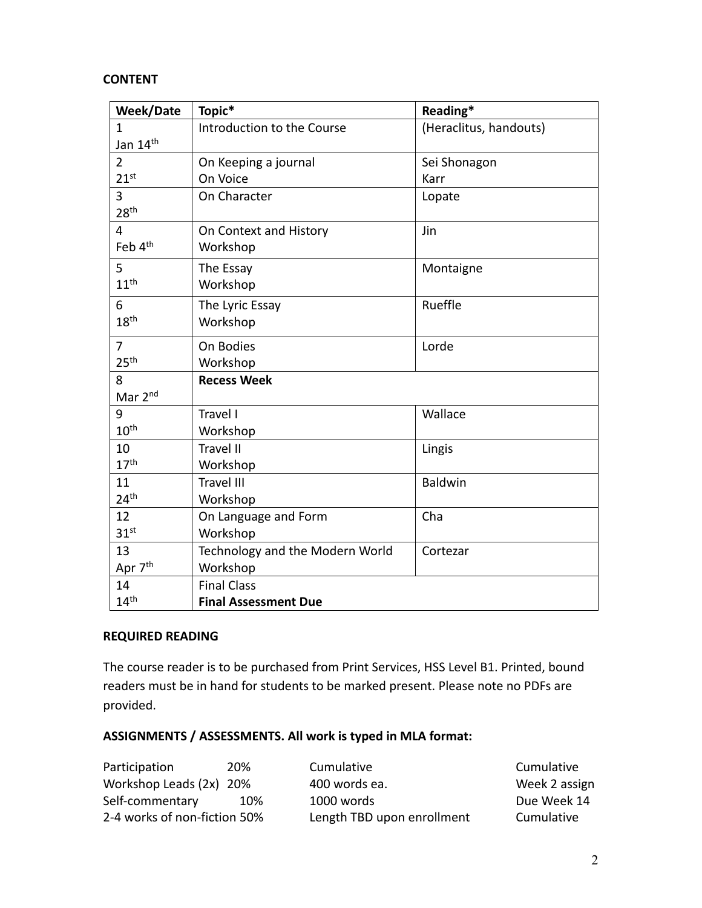#### **CONTENT**

| <b>Week/Date</b>     | Topic*                          | Reading*               |
|----------------------|---------------------------------|------------------------|
| $\mathbf{1}$         | Introduction to the Course      | (Heraclitus, handouts) |
| Jan 14 <sup>th</sup> |                                 |                        |
| $\overline{2}$       | On Keeping a journal            | Sei Shonagon           |
| 21 <sup>st</sup>     | On Voice                        | Karr                   |
| 3                    | On Character                    | Lopate                 |
| 28 <sup>th</sup>     |                                 |                        |
| 4                    | On Context and History          | Jin                    |
| Feb 4 <sup>th</sup>  | Workshop                        |                        |
| 5                    | The Essay                       | Montaigne              |
| 11 <sup>th</sup>     | Workshop                        |                        |
| 6                    | The Lyric Essay                 | Rueffle                |
| 18 <sup>th</sup>     | Workshop                        |                        |
| $\overline{7}$       | On Bodies                       | Lorde                  |
| 25 <sup>th</sup>     | Workshop                        |                        |
| 8                    | <b>Recess Week</b>              |                        |
| Mar 2nd              |                                 |                        |
| 9                    | Travel I                        | Wallace                |
| $10^{\text{th}}$     | Workshop                        |                        |
| 10                   | <b>Travel II</b>                | Lingis                 |
| 17 <sup>th</sup>     | Workshop                        |                        |
| 11                   | <b>Travel III</b>               | <b>Baldwin</b>         |
| 24 <sup>th</sup>     | Workshop                        |                        |
| 12                   | On Language and Form            | Cha                    |
| 31 <sup>st</sup>     | Workshop                        |                        |
| 13                   | Technology and the Modern World | Cortezar               |
| Apr 7 <sup>th</sup>  | Workshop                        |                        |
| 14                   | <b>Final Class</b>              |                        |
| 14 <sup>th</sup>     | <b>Final Assessment Due</b>     |                        |

### **REQUIRED READING**

The course reader is to be purchased from Print Services, HSS Level B1. Printed, bound readers must be in hand for students to be marked present. Please note no PDFs are provided.

# **ASSIGNMENTS / ASSESSMENTS. All work is typed in MLA format:**

| Participation                | 20% | Cumulative                 | Cumulative    |
|------------------------------|-----|----------------------------|---------------|
| Workshop Leads (2x) 20%      |     | 400 words ea.              | Week 2 assign |
| Self-commentary              | 10% | 1000 words                 | Due Week 14   |
| 2-4 works of non-fiction 50% |     | Length TBD upon enrollment | Cumulative    |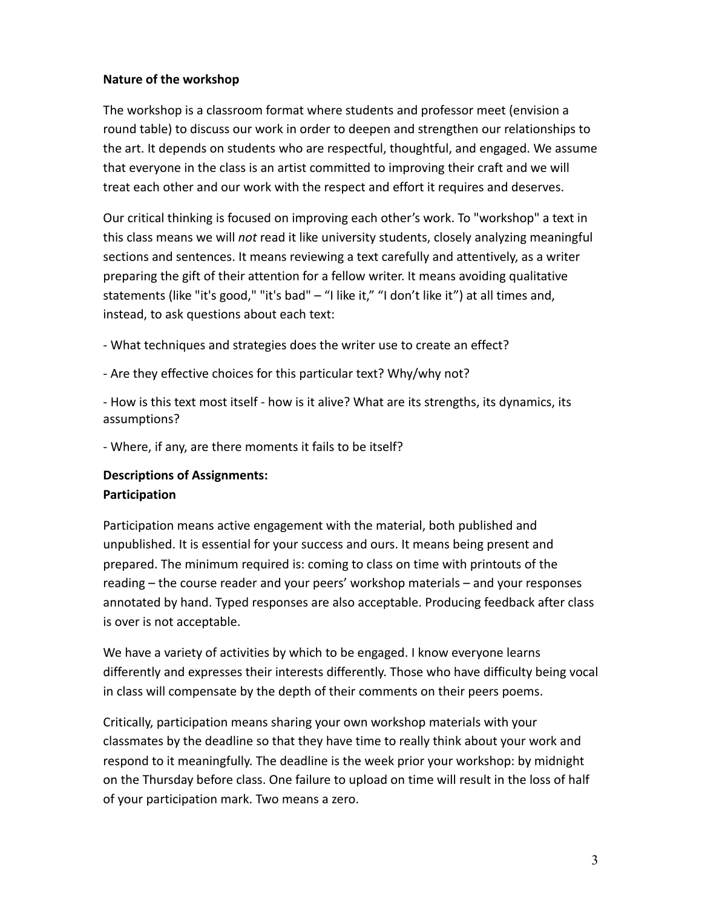### **Nature of the workshop**

The workshop is a classroom format where students and professor meet (envision a round table) to discuss our work in order to deepen and strengthen our relationships to the art. It depends on students who are respectful, thoughtful, and engaged. We assume that everyone in the class is an artist committed to improving their craft and we will treat each other and our work with the respect and effort it requires and deserves.

Our critical thinking is focused on improving each other's work. To "workshop" a text in this class means we will *not* read it like university students, closely analyzing meaningful sections and sentences. It means reviewing a text carefully and attentively, as a writer preparing the gift of their attention for a fellow writer. It means avoiding qualitative statements (like "it's good," "it's bad" – "I like it," "I don't like it") at all times and, instead, to ask questions about each text:

- What techniques and strategies does the writer use to create an effect?

- Are they effective choices for this particular text? Why/why not?

- How is this text most itself - how is it alive? What are its strengths, its dynamics, its assumptions?

- Where, if any, are there moments it fails to be itself?

# **Descriptions of Assignments: Participation**

Participation means active engagement with the material, both published and unpublished. It is essential for your success and ours. It means being present and prepared. The minimum required is: coming to class on time with printouts of the reading – the course reader and your peers' workshop materials – and your responses annotated by hand. Typed responses are also acceptable. Producing feedback after class is over is not acceptable.

We have a variety of activities by which to be engaged. I know everyone learns differently and expresses their interests differently. Those who have difficulty being vocal in class will compensate by the depth of their comments on their peers poems.

Critically, participation means sharing your own workshop materials with your classmates by the deadline so that they have time to really think about your work and respond to it meaningfully. The deadline is the week prior your workshop: by midnight on the Thursday before class. One failure to upload on time will result in the loss of half of your participation mark. Two means a zero.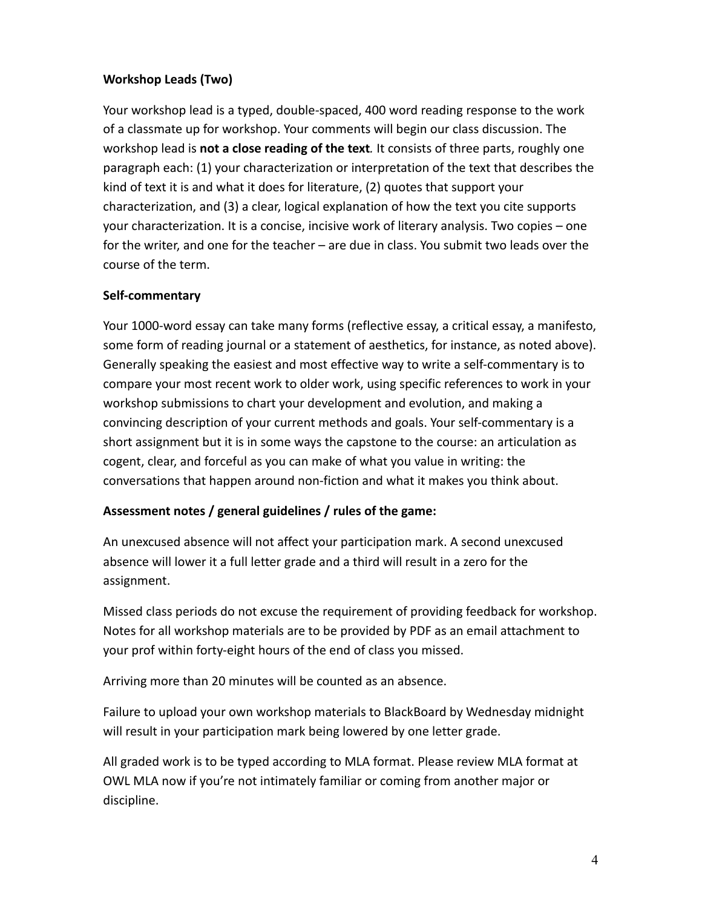# **Workshop Leads (Two)**

Your workshop lead is a typed, double-spaced, 400 word reading response to the work of a classmate up for workshop. Your comments will begin our class discussion. The workshop lead is **not a close reading of the text***.* It consists of three parts, roughly one paragraph each: (1) your characterization or interpretation of the text that describes the kind of text it is and what it does for literature, (2) quotes that support your characterization, and (3) a clear, logical explanation of how the text you cite supports your characterization. It is a concise, incisive work of literary analysis. Two copies – one for the writer, and one for the teacher – are due in class. You submit two leads over the course of the term.

#### **Self-commentary**

Your 1000-word essay can take many forms (reflective essay, a critical essay, a manifesto, some form of reading journal or a statement of aesthetics, for instance, as noted above). Generally speaking the easiest and most effective way to write a self-commentary is to compare your most recent work to older work, using specific references to work in your workshop submissions to chart your development and evolution, and making a convincing description of your current methods and goals. Your self-commentary is a short assignment but it is in some ways the capstone to the course: an articulation as cogent, clear, and forceful as you can make of what you value in writing: the conversations that happen around non-fiction and what it makes you think about.

#### **Assessment notes / general guidelines / rules of the game:**

An unexcused absence will not affect your participation mark. A second unexcused absence will lower it a full letter grade and a third will result in a zero for the assignment.

Missed class periods do not excuse the requirement of providing feedback for workshop. Notes for all workshop materials are to be provided by PDF as an email attachment to your prof within forty-eight hours of the end of class you missed.

Arriving more than 20 minutes will be counted as an absence.

Failure to upload your own workshop materials to BlackBoard by Wednesday midnight will result in your participation mark being lowered by one letter grade.

All graded work is to be typed according to MLA format. Please review MLA format at OWL MLA now if you're not intimately familiar or coming from another major or discipline.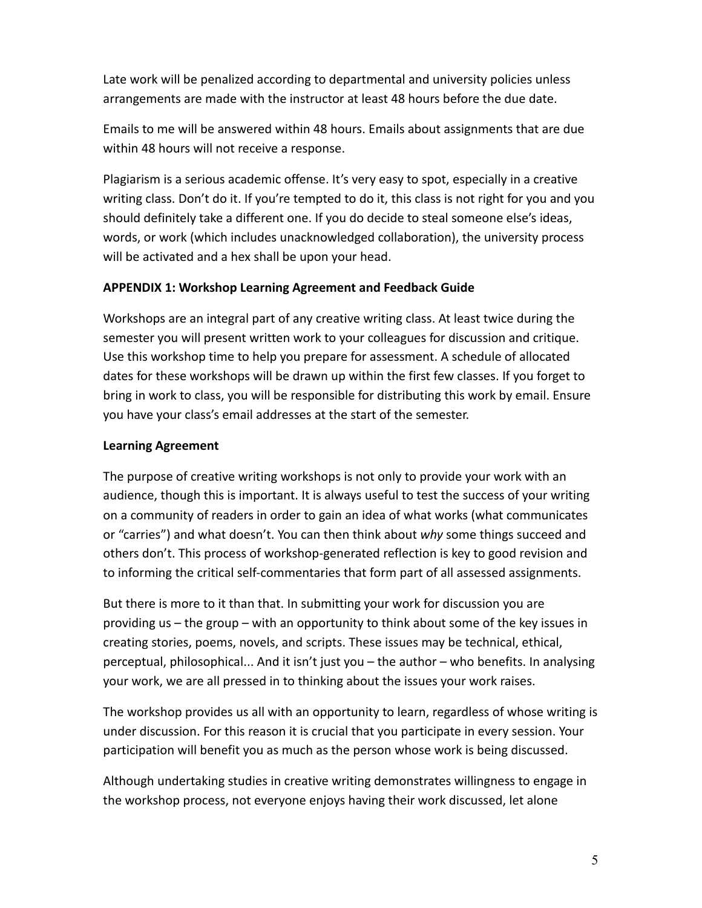Late work will be penalized according to departmental and university policies unless arrangements are made with the instructor at least 48 hours before the due date.

Emails to me will be answered within 48 hours. Emails about assignments that are due within 48 hours will not receive a response.

Plagiarism is a serious academic offense. It's very easy to spot, especially in a creative writing class. Don't do it. If you're tempted to do it, this class is not right for you and you should definitely take a different one. If you do decide to steal someone else's ideas, words, or work (which includes unacknowledged collaboration), the university process will be activated and a hex shall be upon your head.

### **APPENDIX 1: Workshop Learning Agreement and Feedback Guide**

Workshops are an integral part of any creative writing class. At least twice during the semester you will present written work to your colleagues for discussion and critique. Use this workshop time to help you prepare for assessment. A schedule of allocated dates for these workshops will be drawn up within the first few classes. If you forget to bring in work to class, you will be responsible for distributing this work by email. Ensure you have your class's email addresses at the start of the semester.

# **Learning Agreement**

The purpose of creative writing workshops is not only to provide your work with an audience, though this is important. It is always useful to test the success of your writing on a community of readers in order to gain an idea of what works (what communicates or "carries") and what doesn't. You can then think about *why* some things succeed and others don't. This process of workshop-generated reflection is key to good revision and to informing the critical self-commentaries that form part of all assessed assignments.

But there is more to it than that. In submitting your work for discussion you are providing us – the group – with an opportunity to think about some of the key issues in creating stories, poems, novels, and scripts. These issues may be technical, ethical, perceptual, philosophical... And it isn't just you – the author – who benefits. In analysing your work, we are all pressed in to thinking about the issues your work raises.

The workshop provides us all with an opportunity to learn, regardless of whose writing is under discussion. For this reason it is crucial that you participate in every session. Your participation will benefit you as much as the person whose work is being discussed.

Although undertaking studies in creative writing demonstrates willingness to engage in the workshop process, not everyone enjoys having their work discussed, let alone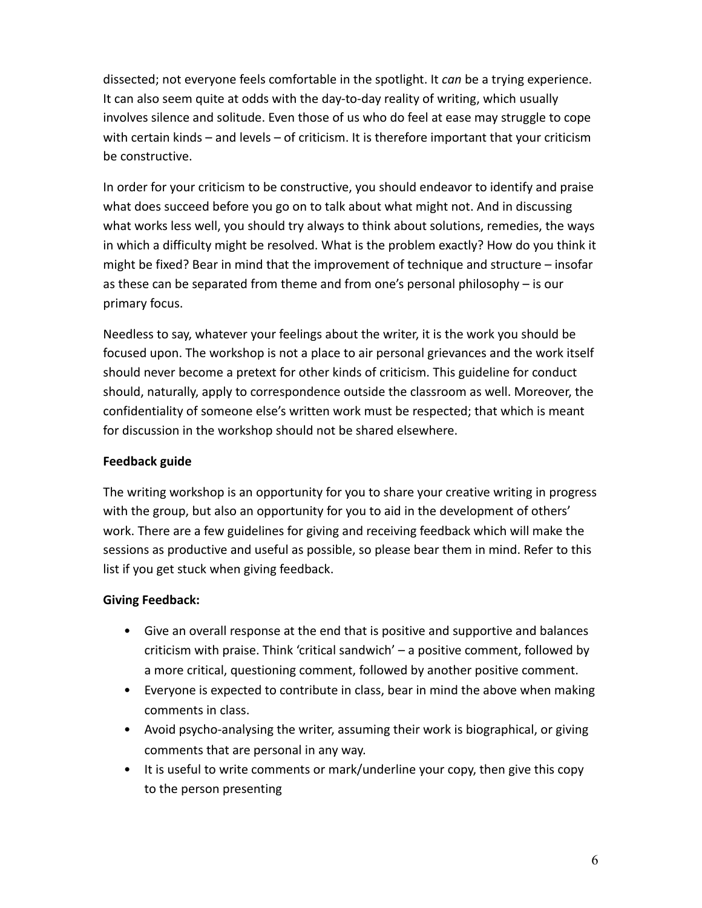dissected; not everyone feels comfortable in the spotlight. It *can* be a trying experience. It can also seem quite at odds with the day-to-day reality of writing, which usually involves silence and solitude. Even those of us who do feel at ease may struggle to cope with certain kinds – and levels – of criticism. It is therefore important that your criticism be constructive.

In order for your criticism to be constructive, you should endeavor to identify and praise what does succeed before you go on to talk about what might not. And in discussing what works less well, you should try always to think about solutions, remedies, the ways in which a difficulty might be resolved. What is the problem exactly? How do you think it might be fixed? Bear in mind that the improvement of technique and structure – insofar as these can be separated from theme and from one's personal philosophy – is our primary focus.

Needless to say, whatever your feelings about the writer, it is the work you should be focused upon. The workshop is not a place to air personal grievances and the work itself should never become a pretext for other kinds of criticism. This guideline for conduct should, naturally, apply to correspondence outside the classroom as well. Moreover, the confidentiality of someone else's written work must be respected; that which is meant for discussion in the workshop should not be shared elsewhere.

### **Feedback guide**

The writing workshop is an opportunity for you to share your creative writing in progress with the group, but also an opportunity for you to aid in the development of others' work. There are a few guidelines for giving and receiving feedback which will make the sessions as productive and useful as possible, so please bear them in mind. Refer to this list if you get stuck when giving feedback.

#### **Giving Feedback:**

- Give an overall response at the end that is positive and supportive and balances criticism with praise. Think 'critical sandwich' – a positive comment, followed by a more critical, questioning comment, followed by another positive comment.
- Everyone is expected to contribute in class, bear in mind the above when making comments in class.
- Avoid psycho-analysing the writer, assuming their work is biographical, or giving comments that are personal in any way.
- It is useful to write comments or mark/underline your copy, then give this copy to the person presenting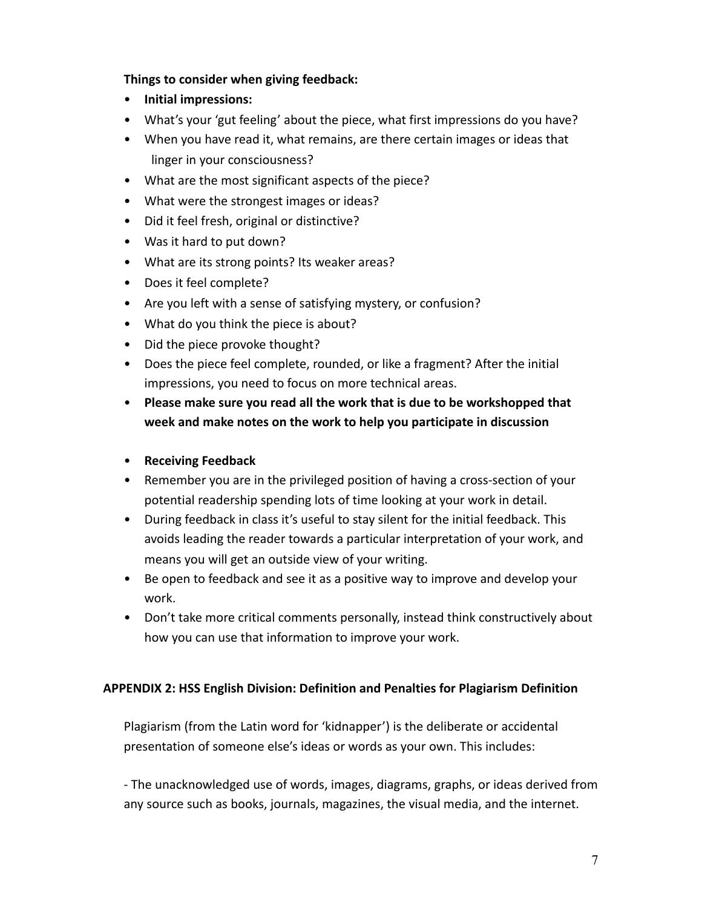### **Things to consider when giving feedback:**

- **Initial impressions:**
- What's your 'gut feeling' about the piece, what first impressions do you have?
- When you have read it, what remains, are there certain images or ideas that linger in your consciousness?
- What are the most significant aspects of the piece?
- What were the strongest images or ideas?
- Did it feel fresh, original or distinctive?
- Was it hard to put down?
- What are its strong points? Its weaker areas?
- Does it feel complete?
- Are you left with a sense of satisfying mystery, or confusion?
- What do you think the piece is about?
- Did the piece provoke thought?
- Does the piece feel complete, rounded, or like a fragment? After the initial impressions, you need to focus on more technical areas.
- **Please make sure you read all the work that is due to be workshopped that week and make notes on the work to help you participate in discussion**

#### • **Receiving Feedback**

- Remember you are in the privileged position of having a cross-section of your potential readership spending lots of time looking at your work in detail.
- During feedback in class it's useful to stay silent for the initial feedback. This avoids leading the reader towards a particular interpretation of your work, and means you will get an outside view of your writing.
- Be open to feedback and see it as a positive way to improve and develop your work.
- Don't take more critical comments personally, instead think constructively about how you can use that information to improve your work.

#### **APPENDIX 2: HSS English Division: Definition and Penalties for Plagiarism Definition**

Plagiarism (from the Latin word for 'kidnapper') is the deliberate or accidental presentation of someone else's ideas or words as your own. This includes:

- The unacknowledged use of words, images, diagrams, graphs, or ideas derived from any source such as books, journals, magazines, the visual media, and the internet.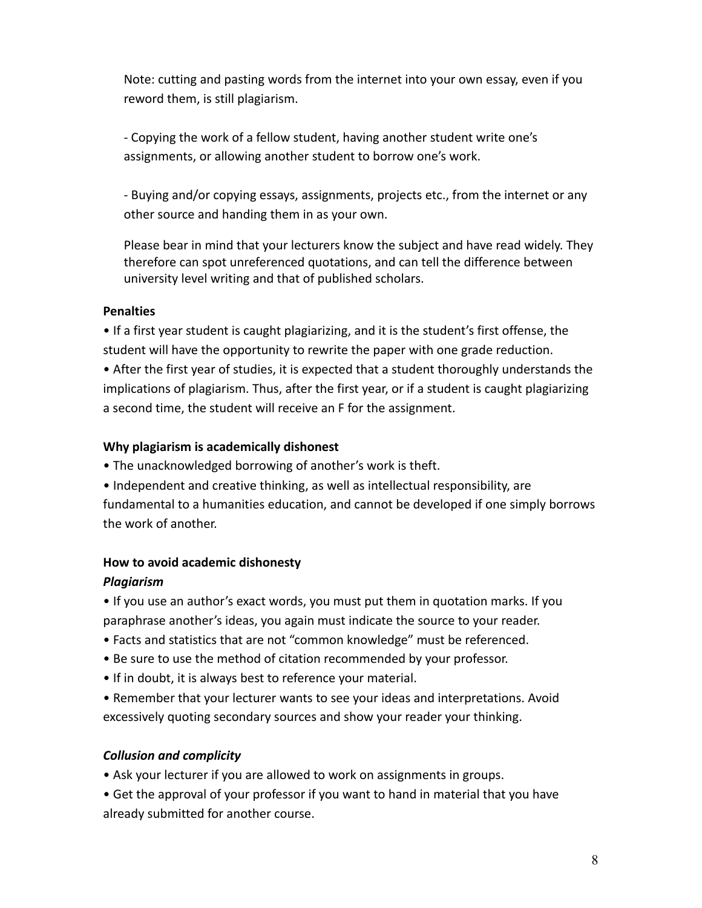Note: cutting and pasting words from the internet into your own essay, even if you reword them, is still plagiarism.

- Copying the work of a fellow student, having another student write one's assignments, or allowing another student to borrow one's work.

- Buying and/or copying essays, assignments, projects etc., from the internet or any other source and handing them in as your own.

Please bear in mind that your lecturers know the subject and have read widely. They therefore can spot unreferenced quotations, and can tell the difference between university level writing and that of published scholars.

### **Penalties**

• If a first year student is caught plagiarizing, and it is the student's first offense, the student will have the opportunity to rewrite the paper with one grade reduction.

• After the first year of studies, it is expected that a student thoroughly understands the implications of plagiarism. Thus, after the first year, or if a student is caught plagiarizing a second time, the student will receive an F for the assignment.

### **Why plagiarism is academically dishonest**

• The unacknowledged borrowing of another's work is theft.

• Independent and creative thinking, as well as intellectual responsibility, are fundamental to a humanities education, and cannot be developed if one simply borrows the work of another.

### **How to avoid academic dishonesty**

### *Plagiarism*

• If you use an author's exact words, you must put them in quotation marks. If you paraphrase another's ideas, you again must indicate the source to your reader.

- Facts and statistics that are not "common knowledge" must be referenced.
- Be sure to use the method of citation recommended by your professor.
- If in doubt, it is always best to reference your material.

• Remember that your lecturer wants to see your ideas and interpretations. Avoid excessively quoting secondary sources and show your reader your thinking.

### *Collusion and complicity*

• Ask your lecturer if you are allowed to work on assignments in groups.

• Get the approval of your professor if you want to hand in material that you have already submitted for another course.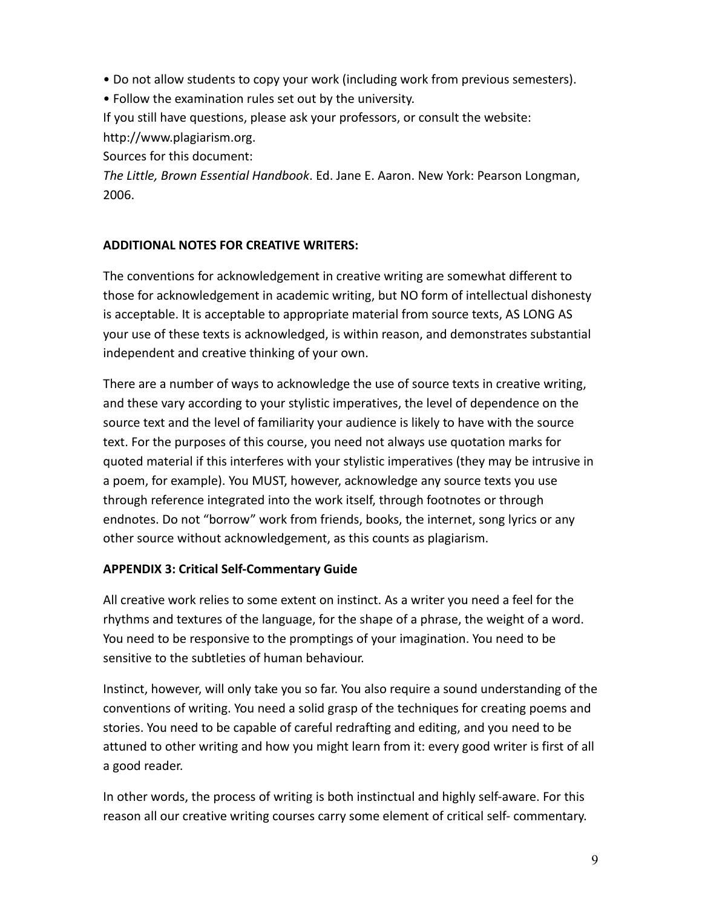• Do not allow students to copy your work (including work from previous semesters).

• Follow the examination rules set out by the university.

If you still have questions, please ask your professors, or consult the website: http://www.plagiarism.org.

Sources for this document:

*The Little, Brown Essential Handbook*. Ed. Jane E. Aaron. New York: Pearson Longman, 2006.

# **ADDITIONAL NOTES FOR CREATIVE WRITERS:**

The conventions for acknowledgement in creative writing are somewhat different to those for acknowledgement in academic writing, but NO form of intellectual dishonesty is acceptable. It is acceptable to appropriate material from source texts, AS LONG AS your use of these texts is acknowledged, is within reason, and demonstrates substantial independent and creative thinking of your own.

There are a number of ways to acknowledge the use of source texts in creative writing, and these vary according to your stylistic imperatives, the level of dependence on the source text and the level of familiarity your audience is likely to have with the source text. For the purposes of this course, you need not always use quotation marks for quoted material if this interferes with your stylistic imperatives (they may be intrusive in a poem, for example). You MUST, however, acknowledge any source texts you use through reference integrated into the work itself, through footnotes or through endnotes. Do not "borrow" work from friends, books, the internet, song lyrics or any other source without acknowledgement, as this counts as plagiarism.

### **APPENDIX 3: Critical Self-Commentary Guide**

All creative work relies to some extent on instinct. As a writer you need a feel for the rhythms and textures of the language, for the shape of a phrase, the weight of a word. You need to be responsive to the promptings of your imagination. You need to be sensitive to the subtleties of human behaviour.

Instinct, however, will only take you so far. You also require a sound understanding of the conventions of writing. You need a solid grasp of the techniques for creating poems and stories. You need to be capable of careful redrafting and editing, and you need to be attuned to other writing and how you might learn from it: every good writer is first of all a good reader.

In other words, the process of writing is both instinctual and highly self-aware. For this reason all our creative writing courses carry some element of critical self- commentary.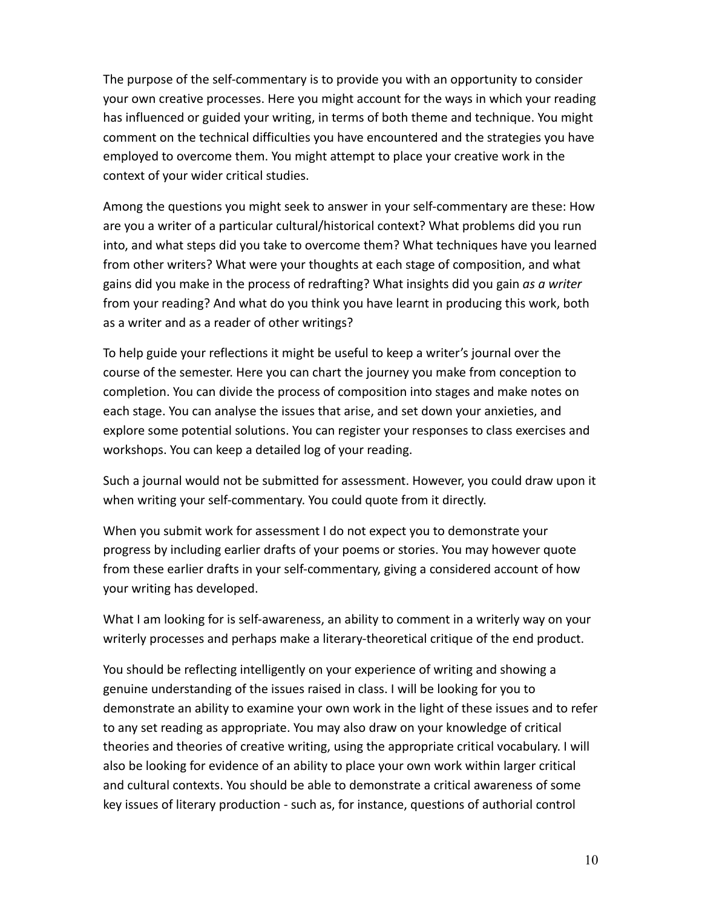The purpose of the self-commentary is to provide you with an opportunity to consider your own creative processes. Here you might account for the ways in which your reading has influenced or guided your writing, in terms of both theme and technique. You might comment on the technical difficulties you have encountered and the strategies you have employed to overcome them. You might attempt to place your creative work in the context of your wider critical studies.

Among the questions you might seek to answer in your self-commentary are these: How are you a writer of a particular cultural/historical context? What problems did you run into, and what steps did you take to overcome them? What techniques have you learned from other writers? What were your thoughts at each stage of composition, and what gains did you make in the process of redrafting? What insights did you gain *as a writer*  from your reading? And what do you think you have learnt in producing this work, both as a writer and as a reader of other writings?

To help guide your reflections it might be useful to keep a writer's journal over the course of the semester. Here you can chart the journey you make from conception to completion. You can divide the process of composition into stages and make notes on each stage. You can analyse the issues that arise, and set down your anxieties, and explore some potential solutions. You can register your responses to class exercises and workshops. You can keep a detailed log of your reading.

Such a journal would not be submitted for assessment. However, you could draw upon it when writing your self-commentary. You could quote from it directly.

When you submit work for assessment I do not expect you to demonstrate your progress by including earlier drafts of your poems or stories. You may however quote from these earlier drafts in your self-commentary, giving a considered account of how your writing has developed.

What I am looking for is self-awareness, an ability to comment in a writerly way on your writerly processes and perhaps make a literary-theoretical critique of the end product.

You should be reflecting intelligently on your experience of writing and showing a genuine understanding of the issues raised in class. I will be looking for you to demonstrate an ability to examine your own work in the light of these issues and to refer to any set reading as appropriate. You may also draw on your knowledge of critical theories and theories of creative writing, using the appropriate critical vocabulary. I will also be looking for evidence of an ability to place your own work within larger critical and cultural contexts. You should be able to demonstrate a critical awareness of some key issues of literary production - such as, for instance, questions of authorial control